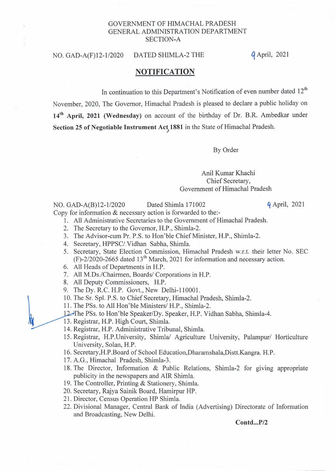## GOVERNMENT OF HIMACHAL PRADESH GENERAL ADMINISTRATION DEPARTMENT SECTION-A

### NO. GAD-A(F)12-1/2020 DATED SHIMLA-2 THE

*q* April, 2021

# **NOTIFICATION**

In continuation to this Department's Notification of even number dated  $12<sup>th</sup>$ 

November, 2020, The Governor, Himachal Pradesh is pleased to declare a public holiday on 14<sup>th</sup> April, 2021 (Wednesday) on account of the birthday of Dr. B.R. Ambedkar under Section 25 of Negotiable Instrument Act, 1881 in the State of Himachal Pradesh.

By Order

## Anil Kumar Khachi Chief Secretary, Government of Himachal Pradesh

#### NO. GAD-A(B)12-1/2020 Dated Shimla 171002 9 April, 2021

 $\sqrt{2}$ 

Copy for information & necessary action is forwarded to the:-

- 1. All Administrative Secretaries to the Government of Himachal Pradesh.
- 2. The Secretary to the Governor, H.P., Shimla-2.
- 3. The Advisor-cum Pr. P.S. to Hon'ble Chief Minister, H.P., Shimla-2.
- 4. Secretary, HPPSC/.Vidhan Sabha, Shimla.
- 5. Secretary, State Election Commission, Himachal Pradesh w.r.t. their letter No. SEC  $(F)$ -2/2020-2665 dated 13<sup>th</sup> March, 2021 for information and necessary action.
- 6. All Heads of Departments in H.P.
- 7. All M.Ds'/Chairmen, Boards/ Corporations in H.P.
- 8. All Deputy Commissioners, H.P.
- 9. The Dy. R.C. H.P. Govt., New Delhi-lIOOOI.
- 10. The Sr. Spl. P.S. to Chief Secretary, Himachal Pradesh, Shimla-2.
- 11. The PSs. to All Hon'ble Ministers/ H.P., Shimla-2.
- ~, The PSs. to Hon'ble Speaker/Dy. Speaker, H.P. Vidhan Sabha, Shimla-4. <sup>11</sup>. The PSs. to All Hon ble Ministers/ F<br>12. The PSs. to Hon'ble Speaker/Dy. Sp<br>13. Registrar, H.P. High Court, Shimla.<br>14. Peakers H.P. Administrative Tribu
	-
	- 14. Registrar, H.P. Administrative Tribunal, Shimla.
	- 15. Registrar, H.P.University, Shimla/ Agriculture University, Palampur/ Horticulture University, Solan, H.P.
	- 16. Secretary,H.P.Board of School Education,Dharamshala,Distt.Kangra. H.P.
	- 17. A.G., Himachal Pradesh, Shimla-3.
	- 18. The Director, Information & Public Relations, Shimla-2 for giving appropriate publicity in the newspapers and AIR Shimla.
	- 19. The Controller, Printing & Stationery, Shimla.
	- 20. Secretary, Rajya Sainik Board, Hamirpur HP.
	- 21. Director, Census Operation HP Shimla.
	- 22. Divisional Manager, Central Bank of India (Advertising) Directorate of Information and Broadcasting, New Delhi.

 $Contd...P/2$